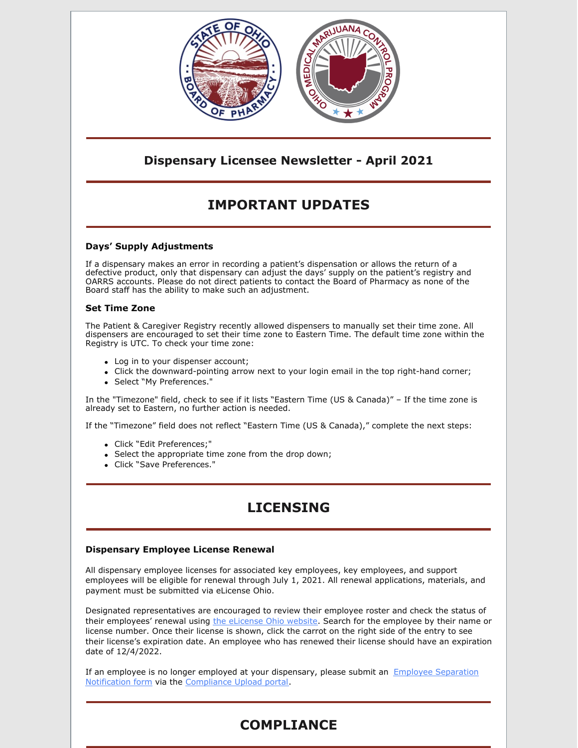

## **Dispensary Licensee Newsletter - April 2021**

# **IMPORTANT UPDATES**

## **Days' Supply Adjustments**

If a dispensary makes an error in recording a patient's dispensation or allows the return of a defective product, only that dispensary can adjust the days' supply on the patient's registry and OARRS accounts. Please do not direct patients to contact the Board of Pharmacy as none of the Board staff has the ability to make such an adjustment.

### **Set Time Zone**

The Patient & Caregiver Registry recently allowed dispensers to manually set their time zone. All dispensers are encouraged to set their time zone to Eastern Time. The default time zone within the Registry is UTC. To check your time zone:

- Log in to your dispenser account;
- Click the downward-pointing arrow next to your login email in the top right-hand corner;
- Select "My Preferences."

In the "Timezone" field, check to see if it lists "Eastern Time (US & Canada)" – If the time zone is already set to Eastern, no further action is needed.

If the "Timezone" field does not reflect "Eastern Time (US & Canada)," complete the next steps:

- Click "Edit Preferences;"
- Select the appropriate time zone from the drop down;
- Click "Save Preferences."

# **LICENSING**

### **Dispensary Employee License Renewal**

All dispensary employee licenses for associated key employees, key employees, and support employees will be eligible for renewal through July 1, 2021. All renewal applications, materials, and payment must be submitted via eLicense Ohio.

Designated representatives are encouraged to review their employee roster and check the status of their employees' renewal using the [eLicense](https://elicense.ohio.gov/OH_HomePage) Ohio website. Search for the employee by their name or license number. Once their license is shown, click the carrot on the right side of the entry to see their license's expiration date. An employee who has renewed their license should have an expiration date of 12/4/2022.

If an employee is no longer employed at your dispensary, please submit an **Employee Separation** Notification form via the [Compliance](https://www.medicalmarijuana.ohio.gov/Documents/LicenseeResources/Dispensary Licensee Resources/Forms and Guidance for Compliance Upload Portal/Employee Separation Form.pdf) Upload portal.

# **COMPLIANCE**